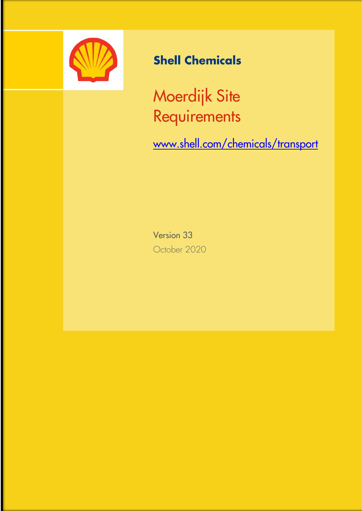

# **Shell Chemicals**

Moerdijk Site **Requirements** 

[www.shell.com/chemicals/transport](http://www.shell.com/chemicals/transport)

Version 33 October 2020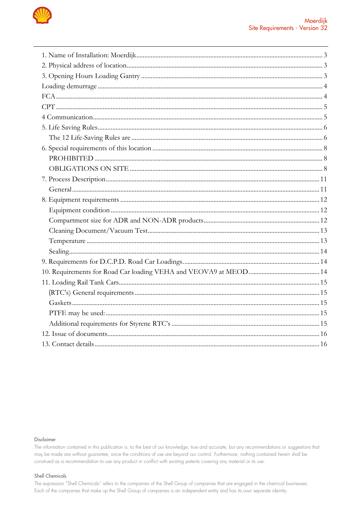

### Disclaimer

The information contained in this publication is, to the best of our knowledge, true and accurate, but any recommendations or suggestions that may be made are without guarantee, since the conditions of use are beyond our control. Furthermore, nothing contained herein shall be construed as a recommendation to use any product in conflict with existing patents covering any material or its use.

#### Shell Chemicals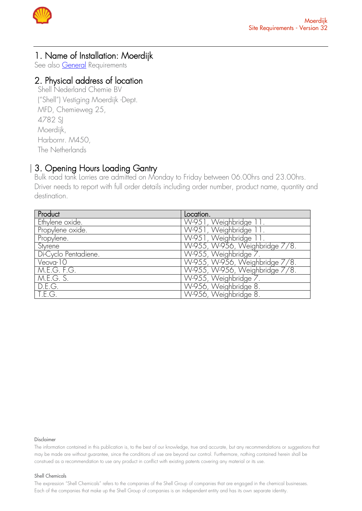

# <span id="page-2-0"></span>1. Name of Installation: Moerdijk

See also **General** Requirements

# <span id="page-2-1"></span>2. Physical address of location

Shell Nederland Chemie BV ("Shell") Vestiging Moerdijk -Dept. MFD, Chemieweg 25, 4782 SI Moerdijk, Harbornr. M450, The Netherlands

### <span id="page-2-2"></span> 3. Opening Hours Loading Gantry

Bulk road tank Lorries are admitted on Monday to Friday between 06.00hrs and 23.00hrs. Driver needs to report with full order details including order number, product name, quantity and destination.

| Product                  | Location.                      |
|--------------------------|--------------------------------|
| Ethylene oxide.          | W-951, Weighbridge 11.         |
| Propylene oxide.         | W-951, Weighbridge 11.         |
| Propylene.               | W-951, Weighbridge 11.         |
| Styrene                  | W-955, W-956, Weighbridge 7/8. |
| Di-Cyclo Pentadiene.     | W-955, Weighbridge 7.          |
| Veova-10                 | W-955, W-956, Weighbridge 7/8. |
| $M.E.G. F.\overline{G.}$ | W-955, W-956, Weighbridge 7/8. |
| M.E.G. S.                | W-955, Weighbridge 7           |
| D.E.G.                   | W-956, Weighbridge 8.          |
| T.E.G.                   | W-956, Weighbridge 8.          |

#### Disclaimer

The information contained in this publication is, to the best of our knowledge, true and accurate, but any recommendations or suggestions that may be made are without guarantee, since the conditions of use are beyond our control. Furthermore, nothing contained herein shall be construed as a recommendation to use any product in conflict with existing patents covering any material or its use.

### Shell Chemicals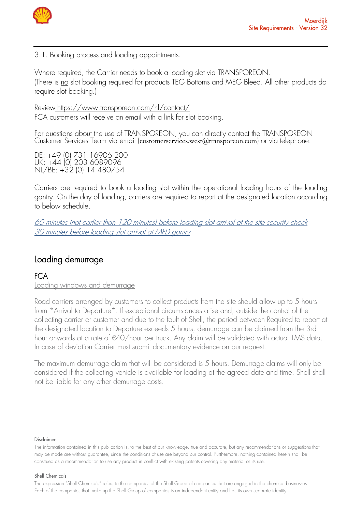

3.1. Booking process and loading appointments.

Where required, the Carrier needs to book a loading slot via TRANSPOREON. (There is no slot booking required for products TEG Bottoms and MEG Bleed. All other products do require slot booking.)

Review <https://www.transporeon.com/nl/contact/> FCA customers will receive an email with a link for slot booking.

For questions about the use of TRANSPOREON, you can directly contact the TRANSPOREON Customer Services Team via email ([customerservices.west@transporeon.com](mailto:customerservices.west@transporeon.com)) or via telephone:

DE: +49 (0) 731 16906 200 UK: +44 (0) 203 6089096 NL/BE: +32 (0) 14 480754

Carriers are required to book a loading slot within the operational loading hours of the loading gantry. On the day of loading, carriers are required to report at the designated location according to below schedule.

60 minutes (not earlier than 120 minutes) before loading slot arrival at the site security check 30 minutes before loading slot arrival at MFD gantry

### <span id="page-3-0"></span> Loading demurrage

# <span id="page-3-1"></span>**FCA**

Loading windows and demurrage

Road carriers arranged by customers to collect products from the site should allow up to 5 hours from \*Arrival to Departure\*. If exceptional circumstances arise and, outside the control of the collecting carrier or customer and due to the fault of Shell, the period between Required to report at the designated location to Departure exceeds 5 hours, demurrage can be claimed from the 3rd hour onwards at a rate of €40/hour per truck. Any claim will be validated with actual TMS data. In case of deviation Carrier must submit documentary evidence on our request.

The maximum demurrage claim that will be considered is 5 hours. Demurrage claims will only be considered if the collecting vehicle is available for loading at the agreed date and time. Shell shall not be liable for any other demurrage costs.

#### Disclaimer

#### Shell Chemicals

The information contained in this publication is, to the best of our knowledge, true and accurate, but any recommendations or suggestions that may be made are without guarantee, since the conditions of use are beyond our control. Furthermore, nothing contained herein shall be construed as a recommendation to use any product in conflict with existing patents covering any material or its use.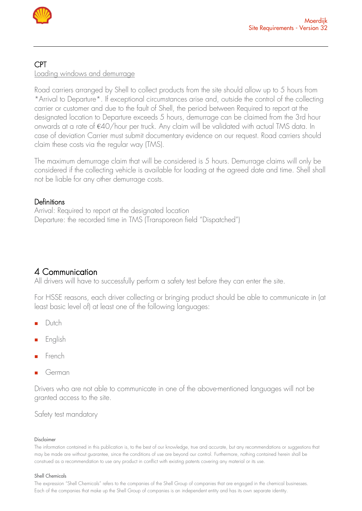

# <span id="page-4-0"></span>CPT

Loading windows and demurrage

Road carriers arranged by Shell to collect products from the site should allow up to 5 hours from \*Arrival to Departure\*. If exceptional circumstances arise and, outside the control of the collecting carrier or customer and due to the fault of Shell, the period between Required to report at the designated location to Departure exceeds 5 hours, demurrage can be claimed from the 3rd hour onwards at a rate of €40/hour per truck. Any claim will be validated with actual TMS data. In case of deviation Carrier must submit documentary evidence on our request. Road carriers should claim these costs via the regular way (TMS).

The maximum demurrage claim that will be considered is 5 hours. Demurrage claims will only be considered if the collecting vehicle is available for loading at the agreed date and time. Shell shall not be liable for any other demurrage costs.

# **Definitions**

Arrival: Required to report at the designated location Departure: the recorded time in TMS (Transporeon field "Dispatched")

# <span id="page-4-1"></span>4 Communication

All drivers will have to successfully perform a safety test before they can enter the site.

For HSSE reasons, each driver collecting or bringing product should be able to communicate in (at least basic level of) at least one of the following languages:

- Dutch
- **English**
- French
- **German**

Drivers who are not able to communicate in one of the above-mentioned languages will not be granted access to the site.

Safety test mandatory

### Disclaimer

The information contained in this publication is, to the best of our knowledge, true and accurate, but any recommendations or suggestions that may be made are without guarantee, since the conditions of use are beyond our control. Furthermore, nothing contained herein shall be construed as a recommendation to use any product in conflict with existing patents covering any material or its use.

### Shell Chemicals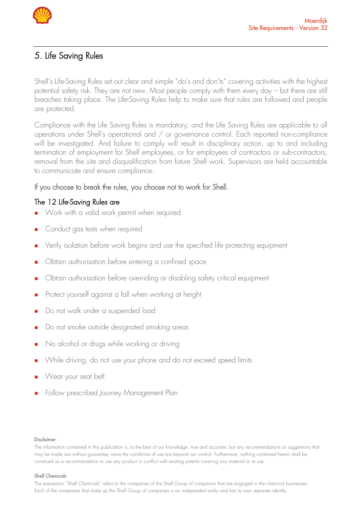

# <span id="page-5-0"></span>5. Life Saving Rules

Shell's Life-Saving Rules set out clear and simple "do's and don'ts" covering activities with the highest potential safety risk. They are not new. Most people comply with them every day – but there are still breaches taking place. The Life-Saving Rules help to make sure that rules are followed and people are protected.

Compliance with the Life Saving Rules is mandatory, and the Life Saving Rules are applicable to all operations under Shell's operational and / or governance control. Each reported non-compliance will be investigated. And failure to comply will result in disciplinary action, up to and including termination of employment for Shell employees, or for employees of contractors or sub-contractors, removal from the site and disqualification from future Shell work. Supervisors are held accountable to communicate and ensure compliance.

### If you choose to break the rules, you choose not to work for Shell.

### <span id="page-5-1"></span>The 12 Life-Saving Rules are

- Work with a valid work permit when required
- Conduct gas tests when required
- Verify isolation before work begins and use the specified life protecting equipment
- Obtain authorisation before entering a confined space
- Obtain authorisation before overriding or disabling safety critical equipment
- Protect yourself against a fall when working at height
- Do not walk under a suspended load
- Do not smoke outside designated smoking areas
- No alcohol or drugs while working or driving
- While driving, do not use your phone and do not exceed speed limits
- Wear your seat belt
- Follow prescribed Journey Management Plan

### Disclaimer

### Shell Chemicals

The information contained in this publication is, to the best of our knowledge, true and accurate, but any recommendations or suggestions that may be made are without guarantee, since the conditions of use are beyond our control. Furthermore, nothing contained herein shall be construed as a recommendation to use any product in conflict with existing patents covering any material or its use.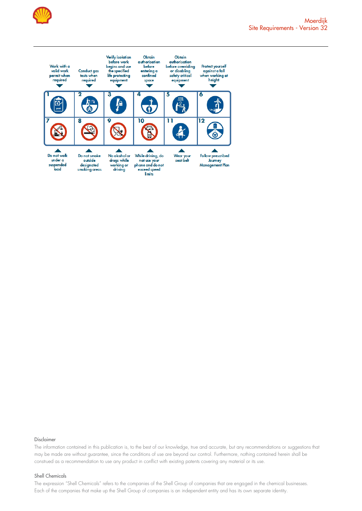



#### Disclaimer

The information contained in this publication is, to the best of our knowledge, true and accurate, but any recommendations or suggestions that may be made are without guarantee, since the conditions of use are beyond our control. Furthermore, nothing contained herein shall be construed as a recommendation to use any product in conflict with existing patents covering any material or its use.

#### Shell Chemicals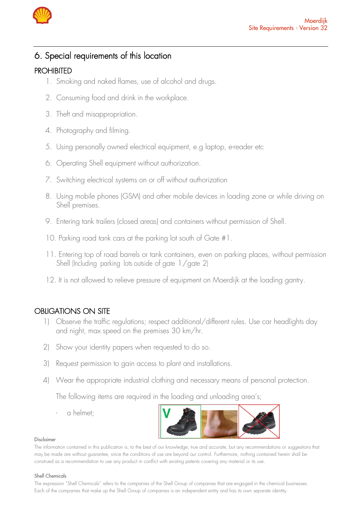

# <span id="page-7-0"></span>6. Special requirements of this location

# <span id="page-7-1"></span>PROHIBITED

- 1. Smoking and naked flames, use of alcohol and drugs.
- 2. Consuming food and drink in the workplace.
- 3. Theft and misappropriation.
- 4. Photography and filming.
- 5. Using personally owned electrical equipment, e.g laptop, e-reader etc
- 6. Operating Shell equipment without authorization.
- 7. Switching electrical systems on or off without authorization
- 8. Using mobile phones (GSM) and other mobile devices in loading zone or while driving on Shell premises.
- 9. Entering tank trailers (closed areas) and containers without permission of Shell.
- 10. Parking road tank cars at the parking lot south of Gate #1.
- 11. Entering top of road barrels or tank containers, even on parking places, without permission Shell (Including parking lots outside of gate 1/gate 2)
- 12. It is not allowed to relieve pressure of equipment on Moerdijk at the loading gantry.

# <span id="page-7-2"></span>OBLIGATIONS ON SITE

- 1) Observe the traffic regulations; respect additional/different rules. Use car headlights day and night, max speed on the premises 30 km/hr.
- 2) Show your identity papers when requested to do so.
- 3) Request permission to gain access to plant and installations.
- 4) Wear the appropriate industrial clothing and necessary means of personal protection.

The following items are required in the loading and unloading area's;

a helmet:



### Disclaimer

The information contained in this publication is, to the best of our knowledge, true and accurate, but any recommendations or suggestions that may be made are without guarantee, since the conditions of use are beyond our control. Furthermore, nothing contained herein shall be construed as a recommendation to use any product in conflict with existing patents covering any material or its use.

### Shell Chemicals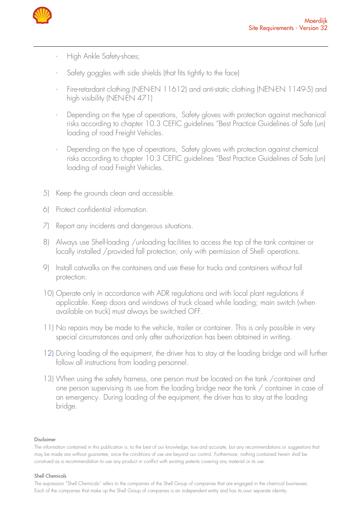

- High Ankle Safety-shoes;
- Safety goggles with side shields (that fits tightly to the face)
- Fire-retardant clothing (NEN-EN 11612) and anti-static clothing (NEN-EN 1149-5) and high visibility (NEN-EN 471)
- Depending on the type of operations, Safety gloves with protection against mechanical risks according to chapter 10.3 CEFIC guidelines "Best Practice Guidelines of Safe (un) loading of road Freight Vehicles.
- Depending on the type of operations, Safety gloves with protection against chemical risks according to chapter 10.3 CEFIC guidelines "Best Practice Guidelines of Safe (un) loading of road Freight Vehicles.
- 5) Keep the grounds clean and accessible.
- 6) Protect confidential information.
- 7) Report any incidents and dangerous situations.
- 8) Always use Shell-loading /unloading facilities to access the top of the tank container or locally installed /provided fall protection; only with permission of Shell- operations.
- 9) Install catwalks on the containers and use these for trucks and containers without fall protection.
- 10) Operate only in accordance with ADR regulations and with local plant regulations if applicable. Keep doors and windows of truck closed while loading; main switch (when available on truck) must always be switched OFF.
- 11) No repairs may be made to the vehicle, trailer or container. This is only possible in very special circumstances and only after authorization has been obtained in writing.
- 12) During loading of the equipment, the driver has to stay at the loading bridge and will further follow all instructions from loading personnel.
- 13) When using the safety harness, one person must be located on the tank /container and one person supervising its use from the loading bridge near the tank / container in case of an emergency. During loading of the equipment, the driver has to stay at the loading bridge.

### Disclaimer

### Shell Chemicals

The information contained in this publication is, to the best of our knowledge, true and accurate, but any recommendations or suggestions that may be made are without guarantee, since the conditions of use are beyond our control. Furthermore, nothing contained herein shall be construed as a recommendation to use any product in conflict with existing patents covering any material or its use.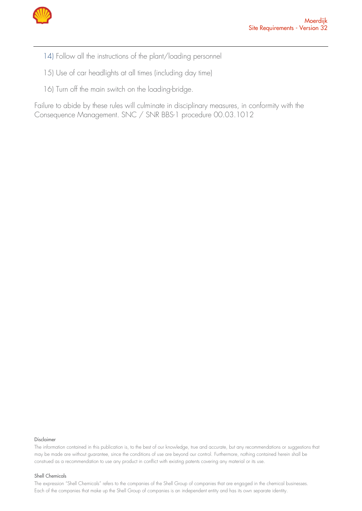

- 14) Follow all the instructions of the plant/loading personnel
- 15) Use of car headlights at all times (including day time)
- 16) Turn off the main switch on the loading-bridge.

Failure to abide by these rules will culminate in disciplinary measures, in conformity with the Consequence Management. SNC / SNR BBS-1 procedure 00.03.1012

#### Disclaimer

The information contained in this publication is, to the best of our knowledge, true and accurate, but any recommendations or suggestions that may be made are without guarantee, since the conditions of use are beyond our control. Furthermore, nothing contained herein shall be construed as a recommendation to use any product in conflict with existing patents covering any material or its use.

#### Shell Chemicals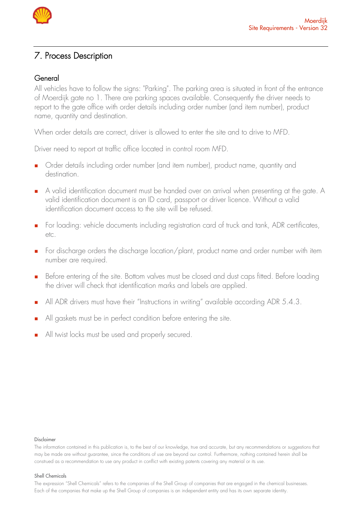

# <span id="page-10-0"></span>7. Process Description

### <span id="page-10-1"></span>General

All vehicles have to follow the signs: "Parking". The parking area is situated in front of the entrance of Moerdijk gate no 1. There are parking spaces available. Consequently the driver needs to report to the gate office with order details including order number (and item number), product name, quantity and destination.

When order details are correct, driver is allowed to enter the site and to drive to MFD.

Driver need to report at traffic office located in control room MFD.

- Order details including order number (and item number), product name, quantity and destination.
- <sup>◼</sup> A valid identification document must be handed over on arrival when presenting at the gate. A valid identification document is an ID card, passport or driver licence. Without a valid identification document access to the site will be refused.
- For loading: vehicle documents including registration card of truck and tank, ADR certificates, etc.
- <sup>◼</sup> For discharge orders the discharge location/plant, product name and order number with item number are required.
- Before entering of the site. Bottom valves must be closed and dust caps fitted. Before loading the driver will check that identification marks and labels are applied.
- All ADR drivers must have their "Instructions in writing" available according ADR 5.4.3.
- All gaskets must be in perfect condition before entering the site.
- All twist locks must be used and properly secured.

#### Disclaimer

The information contained in this publication is, to the best of our knowledge, true and accurate, but any recommendations or suggestions that may be made are without guarantee, since the conditions of use are beyond our control. Furthermore, nothing contained herein shall be construed as a recommendation to use any product in conflict with existing patents covering any material or its use.

### Shell Chemicals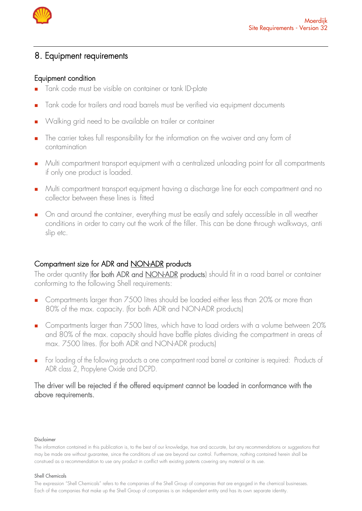

# <span id="page-11-0"></span>8. Equipment requirements

### <span id="page-11-1"></span>Equipment condition

- Tank code must be visible on container or tank ID-plate
- Tank code for trailers and road barrels must be verified via equipment documents
- Walking grid need to be available on trailer or container
- The carrier takes full responsibility for the information on the waiver and any form of contamination
- <sup>◼</sup> Multi compartment transport equipment with a centralized unloading point for all compartments if only one product is loaded.
- <sup>◼</sup> Multi compartment transport equipment having a discharge line for each compartment and no collector between these lines is fitted
- On and around the container, everything must be easily and safely accessible in all weather conditions in order to carry out the work of the filler. This can be done through walkways, anti slip etc.

### <span id="page-11-2"></span>Compartment size for ADR and NON-ADR products

The order quantity (for both ADR and <u>NON-ADR</u> products) should fit in a road barrel or container conforming to the following Shell requirements:

- Compartments larger than 7500 litres should be loaded either less than 20% or more than 80% of the max. capacity. (for both ADR and NON-ADR products)
- Compartments larger than 7500 litres, which have to load orders with a volume between 20% and 80% of the max. capacity should have baffle plates dividing the compartment in areas of max. 7500 litres. (for both ADR and NON-ADR products)
- <sup>◼</sup> For loading of the following products a one compartment road barrel or container is required: Products of ADR class 2, Propylene Oxide and DCPD.

### The driver will be rejected if the offered equipment cannot be loaded in conformance with the above requirements.

### Disclaimer

### Shell Chemicals

The information contained in this publication is, to the best of our knowledge, true and accurate, but any recommendations or suggestions that may be made are without guarantee, since the conditions of use are beyond our control. Furthermore, nothing contained herein shall be construed as a recommendation to use any product in conflict with existing patents covering any material or its use.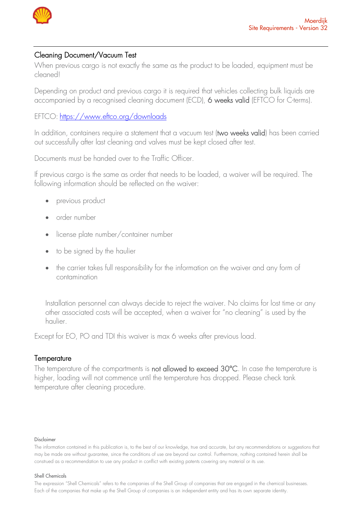

### <span id="page-12-0"></span>Cleaning Document/Vacuum Test

When previous cargo is not exactly the same as the product to be loaded, equipment must be cleaned!

Depending on product and previous cargo it is required that vehicles collecting bulk liquids are accompanied by a recognised cleaning document (ECD), 6 weeks valid (EFTCO for C-terms).

EFTCO: <https://www.eftco.org/downloads>

In addition, containers require a statement that a vacuum test (two weeks valid) has been carried out successfully after last cleaning and valves must be kept closed after test.

Documents must be handed over to the Traffic Officer.

If previous cargo is the same as order that needs to be loaded, a waiver will be required. The following information should be reflected on the waiver:

- previous product
- order number
- license plate number/container number
- to be signed by the haulier
- the carrier takes full responsibility for the information on the waiver and any form of contamination

Installation personnel can always decide to reject the waiver. No claims for lost time or any other associated costs will be accepted, when a waiver for "no cleaning" is used by the haulier.

Except for EO, PO and TDI this waiver is max 6 weeks after previous load.

### <span id="page-12-1"></span>**Temperature**

The temperature of the compartments is not allowed to exceed 30°C. In case the temperature is higher, loading will not commence until the temperature has dropped. Please check tank temperature after cleaning procedure.

### Disclaimer

### Shell Chemicals

The information contained in this publication is, to the best of our knowledge, true and accurate, but any recommendations or suggestions that may be made are without guarantee, since the conditions of use are beyond our control. Furthermore, nothing contained herein shall be construed as a recommendation to use any product in conflict with existing patents covering any material or its use.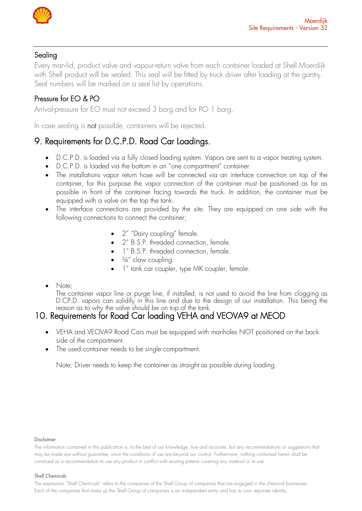

# <span id="page-13-0"></span>Sealing

Every man-lid, product valve and vapour-return valve from each container loaded at Shell Moerdijk with Shell product will be sealed. This seal will be fitted by truck driver after loading at the gantry. Seal numbers will be marked on a seal list by operations.

# Pressure for EO & PO

Arrival-pressure for EO must not exceed 3 barg and for PO 1 barg.

In case sealing is not possible, containers will be rejected.

# <span id="page-13-1"></span>9. Requirements for D.C.P.D. Road Car Loadings.

- D.C.P.D. is loaded via a fully closed loading system. Vapors are sent to a vapor treating system.
- D.C.P.D. is loaded via the bottom in an "one compartment" container.
- The installations vapor return hose will be connected via an interface connection on top of the container, for this purpose the vapor connection of the container must be positioned as far as possible in front of the container facing towards the truck. In addition, the container must be equipped with a valve on the top the tank.
- The interface connections are provided by the site. They are equipped on one side with the following connections to connect the container;
	- 2" "Dairy coupling" female.
	- 2" B.S.P. threaded connection, female.
	- 1" B.S.P. threaded connection, female.
	- $\bullet$   $\frac{3}{4}$ " claw coupling.
	- 1" tank car coupler, type MK coupler, female.
- Note;

The container vapor line or purge line, if installed, is not used to avoid the line from clogging as D.CP.D. vapors can solidify in this line and due to the design of our installation. This being the reason as to why the valve should be on top of the tank.

# <span id="page-13-2"></span>10. Requirements for Road Car loading VEHA and VEOVA9 at MEOD

- VEHA and VEOVA9 Road Cars must be equipped with manholes NOT positioned on the back side of the compartment.
- The used container needs to be single compartment.

Note; Driver needs to keep the container as straight as possible during loading.

### Disclaimer

The information contained in this publication is, to the best of our knowledge, true and accurate, but any recommendations or suggestions that may be made are without guarantee, since the conditions of use are beyond our control. Furthermore, nothing contained herein shall be construed as a recommendation to use any product in conflict with existing patents covering any material or its use.

### Shell Chemicals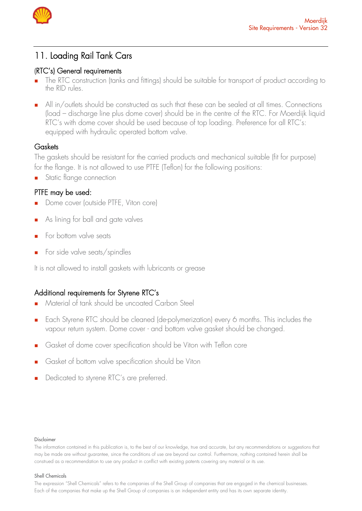

# <span id="page-14-0"></span>11. Loading Rail Tank Cars

### <span id="page-14-1"></span>**(**RTC's) General requirements

- The RTC construction (tanks and fittings) should be suitable for transport of product according to the RID rules.
- All in/outlets should be constructed as such that these can be sealed at all times. Connections (load – discharge line plus dome cover) should be in the centre of the RTC. For Moerdijk liquid RTC's with dome cover should be used because of top loading. Preference for all RTC's: equipped with hydraulic operated bottom valve.

# <span id="page-14-2"></span>Gaskets

The gaskets should be resistant for the carried products and mechanical suitable (fit for purpose) for the flange. It is not allowed to use PTFE (Teflon) for the following positions:

■ Static flange connection

# <span id="page-14-3"></span>PTFE may be used:

- Dome cover (outside PTFE, Viton core)
- As lining for ball and gate valves
- For bottom valve seats
- <sup>◼</sup> For side valve seats/spindles

It is not allowed to install gaskets with lubricants or grease

# <span id="page-14-4"></span>Additional requirements for Styrene RTC's

- <sup>◼</sup> Material of tank should be uncoated Carbon Steel
- Each Styrene RTC should be cleaned (de-polymerization) every 6 months. This includes the vapour return system. Dome cover - and bottom valve gasket should be changed.
- Gasket of dome cover specification should be Viton with Teflon core
- Gasket of bottom valve specification should be Viton
- Dedicated to styrene RTC's are preferred.

### Disclaimer

The information contained in this publication is, to the best of our knowledge, true and accurate, but any recommendations or suggestions that may be made are without guarantee, since the conditions of use are beyond our control. Furthermore, nothing contained herein shall be construed as a recommendation to use any product in conflict with existing patents covering any material or its use.

### Shell Chemicals